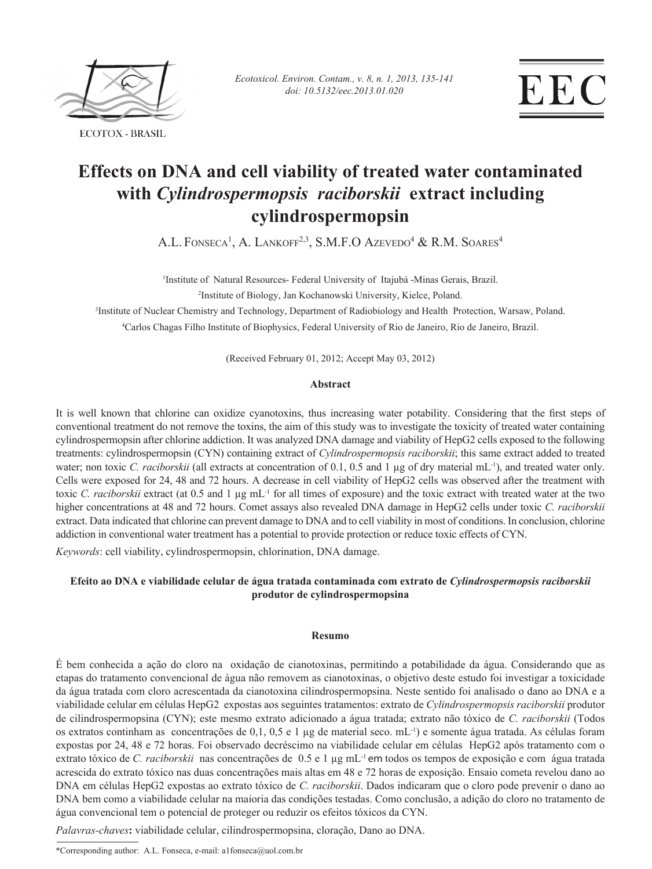

*Ecotoxicol. Environ. Contam., v. 8, n. 1, 2013, 135-141 doi: 10.5132/eec.2013.01.020*

# **Effects on DNA and cell viability of treated water contaminated with** *Cylindrospermopsis raciborskii* **extract including cylindrospermopsin**

A.L. Fonseca<sup>1</sup>, A. Lankoff<sup>2,3</sup>, S.M.F.O Azevedo<sup>4</sup> & R.M. Soares<sup>4</sup>

<sup>1</sup>Institute of Natural Resources- Federal University of Itajubá -Minas Gerais, Brazil.

2 Institute of Biology, Jan Kochanowski University, Kielce, Poland.

3 Institute of Nuclear Chemistry and Technology, Department of Radiobiology and Health Protection, Warsaw, Poland.

4 Carlos Chagas Filho Institute of Biophysics, Federal University of Rio de Janeiro, Rio de Janeiro, Brazil.

(Received February 01, 2012; Accept May 03, 2012)

# **Abstract**

It is well known that chlorine can oxidize cyanotoxins, thus increasing water potability. Considering that the first steps of conventional treatment do not remove the toxins, the aim of this study was to investigate the toxicity of treated water containing cylindrospermopsin after chlorine addiction. It was analyzed DNA damage and viability of HepG2 cells exposed to the following treatments: cylindrospermopsin (CYN) containing extract of *Cylindrospermopsis raciborskii*; this same extract added to treated water; non toxic *C. raciborskii* (all extracts at concentration of 0.1, 0.5 and 1 µg of dry material mL<sup>-1</sup>), and treated water only. Cells were exposed for 24, 48 and 72 hours. A decrease in cell viability of HepG2 cells was observed after the treatment with toxic *C. raciborskii* extract (at 0.5 and 1 µg mL-1 for all times of exposure) and the toxic extract with treated water at the two higher concentrations at 48 and 72 hours. Comet assays also revealed DNA damage in HepG2 cells under toxic *C. raciborskii* extract. Data indicated that chlorine can prevent damage to DNA and to cell viability in most of conditions. In conclusion, chlorine addiction in conventional water treatment has a potential to provide protection or reduce toxic effects of CYN.

*Keywords*: cell viability, cylindrospermopsin, chlorination, DNA damage.

# **Efeito ao DNA e viabilidade celular de água tratada contaminada com extrato de** *Cylindrospermopsis raciborskii* **produtor de cylindrospermopsina**

# **Resumo**

É bem conhecida a ação do cloro na oxidação de cianotoxinas, permitindo a potabilidade da água. Considerando que as etapas do tratamento convencional de água não removem as cianotoxinas, o objetivo deste estudo foi investigar a toxicidade da água tratada com cloro acrescentada da cianotoxina cilindrospermopsina. Neste sentido foi analisado o dano ao DNA e a viabilidade celular em células HepG2 expostas aos seguintes tratamentos: extrato de *Cylindrospermopsis raciborskii* produtor de cilindrospermopsina (CYN); este mesmo extrato adicionado a água tratada; extrato não tóxico de *C. raciborskii* (Todos os extratos continham as concentrações de 0,1, 0,5 e 1 µg de material seco. mL-1) e somente água tratada. As células foram expostas por 24, 48 e 72 horas. Foi observado decréscimo na viabilidade celular em células HepG2 após tratamento com o extrato tóxico de *C. raciborskii* nas concentrações de 0.5 e 1 µg mL<sup>-1</sup> em todos os tempos de exposição e com água tratada acrescida do extrato tóxico nas duas concentrações mais altas em 48 e 72 horas de exposição. Ensaio cometa revelou dano ao DNA em células HepG2 expostas ao extrato tóxico de *C. raciborskii*. Dados indicaram que o cloro pode prevenir o dano ao DNA bem como a viabilidade celular na maioria das condições testadas. Como conclusão, a adição do cloro no tratamento de água convencional tem o potencial de proteger ou reduzir os efeitos tóxicos da CYN.

*Palavras-chaves***:** viabilidade celular, cilindrospermopsina, cloração, Dano ao DNA.

\*Corresponding author: A.L. Fonseca, e-mail: a1fonseca@uol.com.br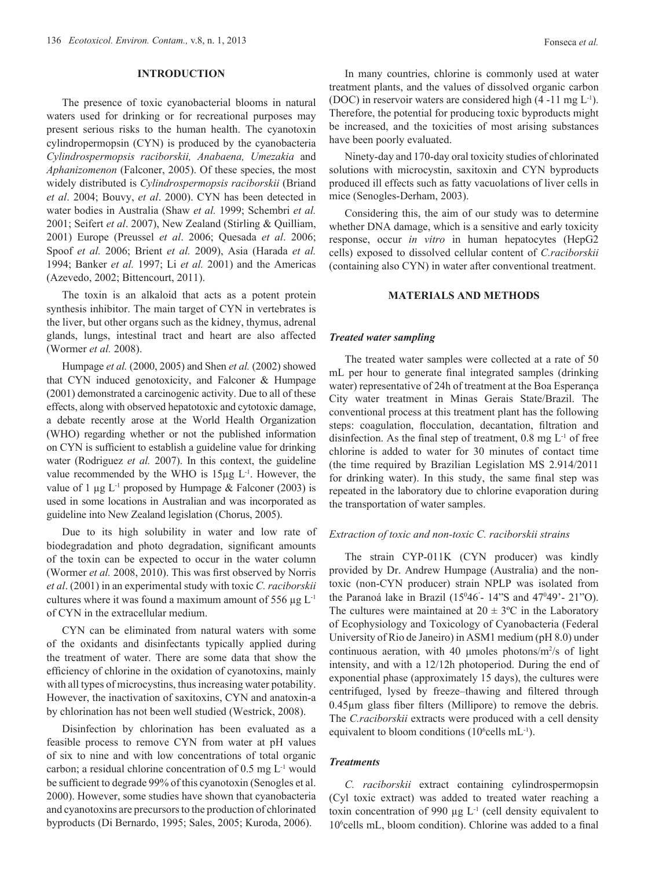## **Introduction**

The presence of toxic cyanobacterial blooms in natural waters used for drinking or for recreational purposes may present serious risks to the human health. The cyanotoxin cylindropermopsin (CYN) is produced by the cyanobacteria *Cylindrospermopsis raciborskii, Anabaena, Umezakia* and *Aphanizomenon* (Falconer, 2005). Of these species, the most widely distributed is *Cylindrospermopsis raciborskii* (Briand *et al*. 2004; Bouvy, *et al*. 2000). CYN has been detected in water bodies in Australia (Shaw *et al.* 1999; Schembri *et al.* 2001; Seifert *et al*. 2007), New Zealand (Stirling & Quilliam, 2001) Europe (Preussel *et al*. 2006; Quesada *et al*. 2006; Spoof *et al.* 2006; Brient *et al.* 2009), Asia (Harada *et al.*  1994; Banker *et al.* 1997; Li *et al.* 2001) and the Americas (Azevedo, 2002; Bittencourt, 2011).

The toxin is an alkaloid that acts as a potent protein synthesis inhibitor. The main target of CYN in vertebrates is the liver, but other organs such as the kidney, thymus, adrenal glands, lungs, intestinal tract and heart are also affected (Wormer *et al.* 2008).

Humpage *et al.* (2000, 2005) and Shen *et al.* (2002) showed that CYN induced genotoxicity, and Falconer & Humpage (2001) demonstrated a carcinogenic activity. Due to all of these effects, along with observed hepatotoxic and cytotoxic damage, a debate recently arose at the World Health Organization (WHO) regarding whether or not the published information on CYN is sufficient to establish a guideline value for drinking water (Rodriguez *et al.* 2007). In this context, the guideline value recommended by the WHO is  $15\mu g$  L<sup>-1</sup>. However, the value of 1  $\mu$ g L<sup>-1</sup> proposed by Humpage & Falconer (2003) is used in some locations in Australian and was incorporated as guideline into New Zealand legislation (Chorus, 2005).

Due to its high solubility in water and low rate of biodegradation and photo degradation, significant amounts of the toxin can be expected to occur in the water column (Wormer *et al.* 2008, 2010). This was first observed by Norris *et al*. (2001) in an experimental study with toxic *C. raciborskii*  cultures where it was found a maximum amount of 556  $\mu$ g L<sup>-1</sup> of CYN in the extracellular medium.

CYN can be eliminated from natural waters with some of the oxidants and disinfectants typically applied during the treatment of water. There are some data that show the efficiency of chlorine in the oxidation of cyanotoxins, mainly with all types of microcystins, thus increasing water potability. However, the inactivation of saxitoxins, CYN and anatoxin-a by chlorination has not been well studied (Westrick, 2008).

Disinfection by chlorination has been evaluated as a feasible process to remove CYN from water at pH values of six to nine and with low concentrations of total organic carbon; a residual chlorine concentration of  $0.5 \text{ mg } L^{-1}$  would be sufficient to degrade 99% of this cyanotoxin (Senogles et al. 2000). However, some studies have shown that cyanobacteria and cyanotoxins are precursors to the production of chlorinated byproducts (Di Bernardo, 1995; Sales, 2005; Kuroda, 2006).

In many countries, chlorine is commonly used at water treatment plants, and the values of dissolved organic carbon (DOC) in reservoir waters are considered high (4 -11 mg L-1). Therefore, the potential for producing toxic byproducts might be increased, and the toxicities of most arising substances have been poorly evaluated.

Ninety-day and 170-day oral toxicity studies of chlorinated solutions with microcystin, saxitoxin and CYN byproducts produced ill effects such as fatty vacuolations of liver cells in mice (Senogles-Derham, 2003).

Considering this, the aim of our study was to determine whether DNA damage, which is a sensitive and early toxicity response, occur *in vitro* in human hepatocytes (HepG2 cells) exposed to dissolved cellular content of *C.raciborskii* (containing also CYN) in water after conventional treatment.

# **Materials and Methods**

#### *Treated water sampling*

The treated water samples were collected at a rate of 50 mL per hour to generate final integrated samples (drinking water) representative of 24h of treatment at the Boa Esperança City water treatment in Minas Gerais State/Brazil. The conventional process at this treatment plant has the following steps: coagulation, flocculation, decantation, filtration and disinfection. As the final step of treatment,  $0.8 \text{ mg } L^{-1}$  of free chlorine is added to water for 30 minutes of contact time (the time required by Brazilian Legislation MS 2.914/2011 for drinking water). In this study, the same final step was repeated in the laboratory due to chlorine evaporation during the transportation of water samples.

#### *Extraction of toxic and non-toxic C. raciborskii strains*

The strain CYP-011K (CYN producer) was kindly provided by Dr. Andrew Humpage (Australia) and the nontoxic (non-CYN producer) strain NPLP was isolated from the Paranoá lake in Brazil (15<sup>0</sup>46<sup>2</sup> - 14<sup>3</sup>°S and 47<sup>0</sup>49<sup>2</sup> - 21<sup>3</sup>°O). The cultures were maintained at  $20 \pm 3$ °C in the Laboratory of Ecophysiology and Toxicology of Cyanobacteria (Federal University of Rio de Janeiro) in ASM1 medium (pH 8.0) under continuous aeration, with 40  $\mu$ moles photons/m<sup>2</sup>/s of light intensity, and with a 12/12h photoperiod. During the end of exponential phase (approximately 15 days), the cultures were centrifuged, lysed by freeze–thawing and filtered through 0.45µm glass fiber filters (Millipore) to remove the debris. The *C.raciborskii* extracts were produced with a cell density equivalent to bloom conditions (10 $^6$ cells mL<sup>-1</sup>).

# *Treatments*

*C. raciborskii* extract containing cylindrospermopsin (Cyl toxic extract) was added to treated water reaching a toxin concentration of 990  $\mu$ g L<sup>-1</sup> (cell density equivalent to 106 cells mL, bloom condition). Chlorine was added to a final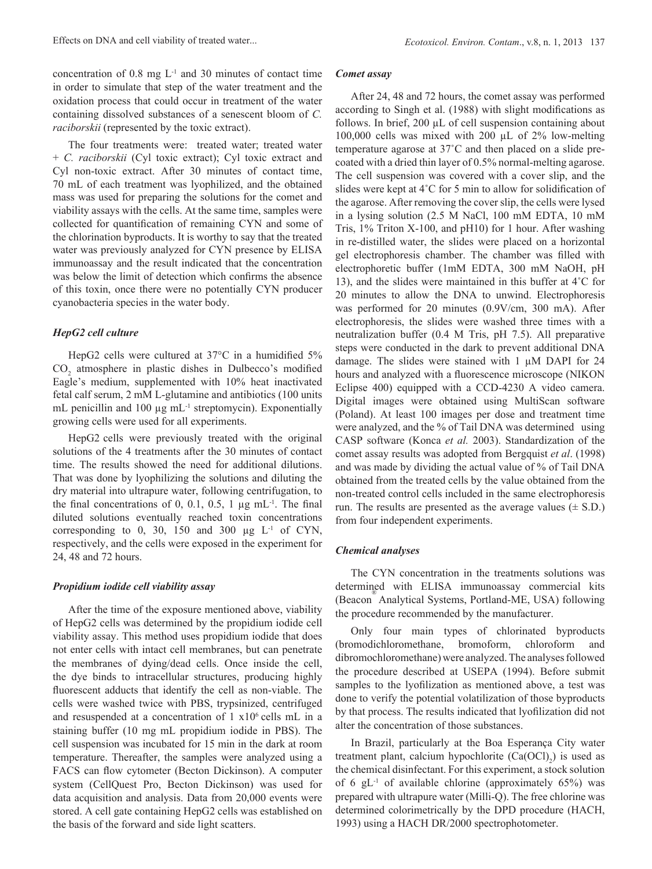concentration of  $0.8 \text{ mg } L^{-1}$  and  $30 \text{ minutes of contact time}$ in order to simulate that step of the water treatment and the oxidation process that could occur in treatment of the water containing dissolved substances of a senescent bloom of *C. raciborskii* (represented by the toxic extract).

The four treatments were: treated water; treated water + *C. raciborskii* (Cyl toxic extract); Cyl toxic extract and Cyl non-toxic extract. After 30 minutes of contact time, 70 mL of each treatment was lyophilized, and the obtained mass was used for preparing the solutions for the comet and viability assays with the cells. At the same time, samples were collected for quantification of remaining CYN and some of the chlorination byproducts. It is worthy to say that the treated water was previously analyzed for CYN presence by ELISA immunoassay and the result indicated that the concentration was below the limit of detection which confirms the absence of this toxin, once there were no potentially CYN producer cyanobacteria species in the water body.

# *HepG2 cell culture*

HepG2 cells were cultured at 37°C in a humidified 5%  $CO<sub>2</sub>$  atmosphere in plastic dishes in Dulbecco's modified Eagle's medium, supplemented with 10% heat inactivated fetal calf serum, 2 mM L-glutamine and antibiotics (100 units mL penicillin and 100  $\mu$ g mL<sup>-1</sup> streptomycin). Exponentially growing cells were used for all experiments.

HepG2 cells were previously treated with the original solutions of the 4 treatments after the 30 minutes of contact time. The results showed the need for additional dilutions. That was done by lyophilizing the solutions and diluting the dry material into ultrapure water, following centrifugation, to the final concentrations of 0, 0.1, 0.5, 1  $\mu$ g mL<sup>-1</sup>. The final diluted solutions eventually reached toxin concentrations corresponding to 0, 30, 150 and 300  $\mu$ g L<sup>-1</sup> of CYN, respectively, and the cells were exposed in the experiment for 24, 48 and 72 hours.

#### *Propidium iodide cell viability assay*

After the time of the exposure mentioned above, viability of HepG2 cells was determined by the propidium iodide cell viability assay. This method uses propidium iodide that does not enter cells with intact cell membranes, but can penetrate the membranes of dying/dead cells. Once inside the cell, the dye binds to intracellular structures, producing highly fluorescent adducts that identify the cell as non-viable. The cells were washed twice with PBS, trypsinized, centrifuged and resuspended at a concentration of  $1 \times 10^6$  cells mL in a staining buffer (10 mg mL propidium iodide in PBS). The cell suspension was incubated for 15 min in the dark at room temperature. Thereafter, the samples were analyzed using a FACS can flow cytometer (Becton Dickinson). A computer system (CellQuest Pro, Becton Dickinson) was used for data acquisition and analysis. Data from 20,000 events were stored. A cell gate containing HepG2 cells was established on the basis of the forward and side light scatters.

#### *Comet assay*

After 24, 48 and 72 hours, the comet assay was performed according to Singh et al. (1988) with slight modifications as follows. In brief, 200 µL of cell suspension containing about 100,000 cells was mixed with 200 µL of 2% low-melting temperature agarose at 37˚C and then placed on a slide precoated with a dried thin layer of 0.5% normal-melting agarose. The cell suspension was covered with a cover slip, and the slides were kept at 4˚C for 5 min to allow for solidification of the agarose. After removing the cover slip, the cells were lysed in a lysing solution (2.5 M NaCl, 100 mM EDTA, 10 mM Tris, 1% Triton X-100, and pH10) for 1 hour. After washing in re-distilled water, the slides were placed on a horizontal gel electrophoresis chamber. The chamber was filled with electrophoretic buffer (1mM EDTA, 300 mM NaOH, pH 13), and the slides were maintained in this buffer at 4˚C for 20 minutes to allow the DNA to unwind. Electrophoresis was performed for 20 minutes (0.9V/cm, 300 mA). After electrophoresis, the slides were washed three times with a neutralization buffer (0.4 M Tris, pH 7.5). All preparative steps were conducted in the dark to prevent additional DNA damage. The slides were stained with  $1 \mu M$  DAPI for 24 hours and analyzed with a fluorescence microscope (NIKON Eclipse 400) equipped with a CCD-4230 A video camera. Digital images were obtained using MultiScan software (Poland). At least 100 images per dose and treatment time were analyzed, and the % of Tail DNA was determined using CASP software (Konca *et al.* 2003). Standardization of the comet assay results was adopted from Bergquist *et al*. (1998) and was made by dividing the actual value of % of Tail DNA obtained from the treated cells by the value obtained from the non-treated control cells included in the same electrophoresis run. The results are presented as the average values  $(\pm S.D.)$ from four independent experiments.

# *Chemical analyses*

The CYN concentration in the treatments solutions was determined with ELISA immunoassay commercial kits (Beacon® Analytical Systems, Portland-ME, USA) following the procedure recommended by the manufacturer.

Only four main types of chlorinated byproducts (bromodichloromethane, bromoform, chloroform and dibromochloromethane) were analyzed. The analyses followed the procedure described at USEPA (1994). Before submit samples to the lyofilization as mentioned above, a test was done to verify the potential volatilization of those byproducts by that process. The results indicated that lyofilization did not alter the concentration of those substances.

In Brazil, particularly at the Boa Esperança City water treatment plant, calcium hypochlorite  $(Ca(OCl)<sub>2</sub>)$  is used as the chemical disinfectant. For this experiment, a stock solution of 6  $gL^{-1}$  of available chlorine (approximately 65%) was prepared with ultrapure water (Milli-Q). The free chlorine was determined colorimetrically by the DPD procedure (HACH, 1993) using a HACH DR/2000 spectrophotometer.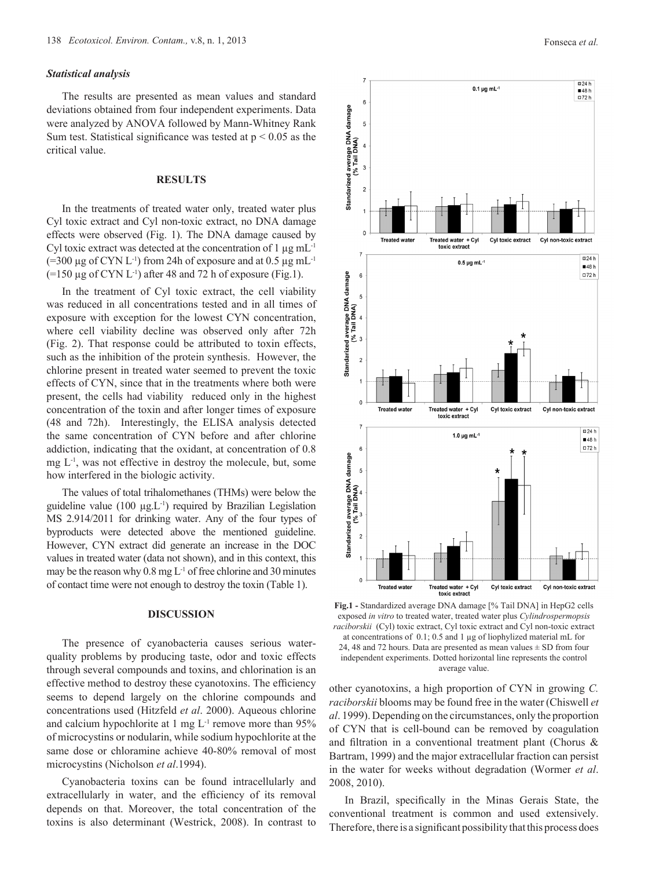# *Statistical analysis*

The results are presented as mean values and standard deviations obtained from four independent experiments. Data were analyzed by ANOVA followed by Mann-Whitney Rank Sum test. Statistical significance was tested at  $p \le 0.05$  as the critical value.

# **Results**

In the treatments of treated water only, treated water plus Cyl toxic extract and Cyl non-toxic extract, no DNA damage effects were observed (Fig. 1). The DNA damage caused by Cyl toxic extract was detected at the concentration of  $1 \mu g$  mL<sup>-1</sup>  $(=300 \,\mu g \text{ of CYN L}^{-1})$  from 24h of exposure and at 0.5  $\mu g \text{ mL}^{-1}$  $(=150 \mu g \text{ of CYN L}^{-1})$  after 48 and 72 h of exposure (Fig.1).

In the treatment of Cyl toxic extract, the cell viability was reduced in all concentrations tested and in all times of exposure with exception for the lowest CYN concentration, where cell viability decline was observed only after 72h (Fig. 2). That response could be attributed to toxin effects, such as the inhibition of the protein synthesis. However, the chlorine present in treated water seemed to prevent the toxic effects of CYN, since that in the treatments where both were present, the cells had viability reduced only in the highest concentration of the toxin and after longer times of exposure (48 and 72h). Interestingly, the ELISA analysis detected the same concentration of CYN before and after chlorine addiction, indicating that the oxidant, at concentration of 0.8 mg  $L<sup>-1</sup>$ , was not effective in destroy the molecule, but, some how interfered in the biologic activity.

The values of total trihalomethanes (THMs) were below the guideline value  $(100 \mu g.L^{-1})$  required by Brazilian Legislation MS 2.914/2011 for drinking water. Any of the four types of byproducts were detected above the mentioned guideline. However, CYN extract did generate an increase in the DOC values in treated water (data not shown), and in this context, this may be the reason why  $0.8 \text{ mg L}^{-1}$  of free chlorine and 30 minutes of contact time were not enough to destroy the toxin (Table 1).

#### **Discussion**

The presence of cyanobacteria causes serious waterquality problems by producing taste, odor and toxic effects through several compounds and toxins, and chlorination is an effective method to destroy these cyanotoxins. The efficiency seems to depend largely on the chlorine compounds and concentrations used (Hitzfeld *et al*. 2000). Aqueous chlorine and calcium hypochlorite at 1 mg  $L<sup>-1</sup>$  remove more than 95% of microcystins or nodularin, while sodium hypochlorite at the same dose or chloramine achieve 40-80% removal of most microcystins (Nicholson *et al*.1994).

Cyanobacteria toxins can be found intracellularly and extracellularly in water, and the efficiency of its removal depends on that. Moreover, the total concentration of the toxins is also determinant (Westrick, 2008). In contrast to



**Fig.1 -** Standardized average DNA damage [% Tail DNA] in HepG2 cells exposed *in vitro* to treated water, treated water plus *Cylindrospermopsis raciborskii* (Cyl) toxic extract, Cyl toxic extract and Cyl non-toxic extract at concentrations of 0.1; 0.5 and 1 µg of liophylized material mL for 24, 48 and 72 hours. Data are presented as mean values  $\pm$  SD from four independent experiments. Dotted horizontal line represents the control average value.

other cyanotoxins, a high proportion of CYN in growing *C. raciborskii* blooms may be found free in the water (Chiswell *et al*. 1999). Depending on the circumstances, only the proportion of CYN that is cell-bound can be removed by coagulation and filtration in a conventional treatment plant (Chorus & Bartram, 1999) and the major extracellular fraction can persist in the water for weeks without degradation (Wormer *et al*. 2008, 2010).

In Brazil, specifically in the Minas Gerais State, the conventional treatment is common and used extensively. Therefore, there is a significant possibility that this process does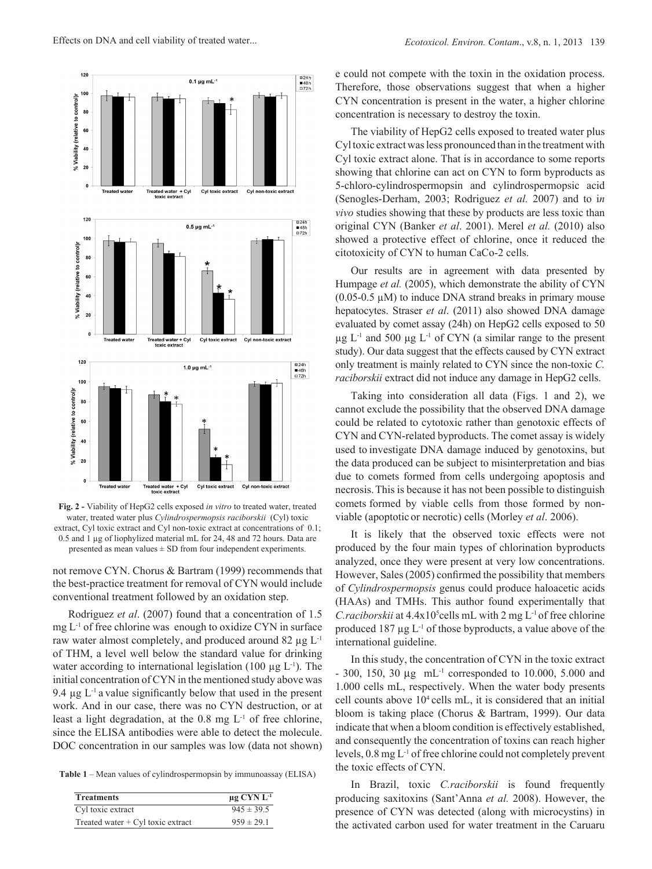

**Fig. 2 -** Viability of HepG2 cells exposed *in vitro* to treated water, treated water, treated water plus *Cylindrospermopsis raciborskii* (Cyl) toxic extract, Cyl toxic extract and Cyl non-toxic extract at concentrations of 0.1; 0.5 and 1 µg of liophylized material mL for 24, 48 and 72 hours. Data are presented as mean values  $\pm$  SD from four independent experiments.

not remove CYN. Chorus & Bartram (1999) recommends that the best-practice treatment for removal of CYN would include conventional treatment followed by an oxidation step.

Rodriguez *et al*. (2007) found that a concentration of 1.5  $mg L<sup>-1</sup>$  of free chlorine was enough to oxidize CYN in surface raw water almost completely, and produced around 82  $\mu$ g L<sup>-1</sup> of THM, a level well below the standard value for drinking water according to international legislation (100  $\mu$ g L<sup>-1</sup>). The initial concentration of CYN in the mentioned study above was 9.4  $\mu$ g L<sup>-1</sup> a value significantly below that used in the present work. And in our case, there was no CYN destruction, or at least a light degradation, at the  $0.8 \text{ mg } L^1$  of free chlorine, since the ELISA antibodies were able to detect the molecule. DOC concentration in our samples was low (data not shown)

**Table 1** – Mean values of cylindrospermopsin by immunoassay (ELISA)

| <b>Treatments</b>                   | $\mu$ g CYN L <sup>-1</sup> |
|-------------------------------------|-----------------------------|
| Cyl toxic extract                   | $945 \pm 39.5$              |
| Treated water $+$ Cyl toxic extract | $959 \pm 29.1$              |

e could not compete with the toxin in the oxidation process. Therefore, those observations suggest that when a higher CYN concentration is present in the water, a higher chlorine concentration is necessary to destroy the toxin.

The viability of HepG2 cells exposed to treated water plus Cyl toxic extract was less pronounced than in the treatment with Cyl toxic extract alone. That is in accordance to some reports showing that chlorine can act on CYN to form byproducts as 5-chloro-cylindrospermopsin and cylindrospermopsic acid (Senogles-Derham, 2003; Rodriguez *et al.* 2007) and to i*n vivo* studies showing that these by products are less toxic than original CYN (Banker *et al*. 2001). Merel *et al.* (2010) also showed a protective effect of chlorine, once it reduced the citotoxicity of CYN to human CaCo-2 cells.

Our results are in agreement with data presented by Humpage *et al.* (2005), which demonstrate the ability of CYN  $(0.05-0.5 \mu M)$  to induce DNA strand breaks in primary mouse hepatocytes. Straser *et al*. (2011) also showed DNA damage evaluated by comet assay (24h) on HepG2 cells exposed to 50  $\mu$ g L<sup>-1</sup> and 500  $\mu$ g L<sup>-1</sup> of CYN (a similar range to the present study). Our data suggest that the effects caused by CYN extract only treatment is mainly related to CYN since the non-toxic *C. raciborskii* extract did not induce any damage in HepG2 cells.

Taking into consideration all data (Figs. 1 and 2), we cannot exclude the possibility that the observed DNA damage could be related to cytotoxic rather than genotoxic effects of CYN and CYN-related byproducts. The comet assay is widely used to investigate DNA damage induced by genotoxins, but the data produced can be subject to misinterpretation and bias due to comets formed from cells undergoing apoptosis and necrosis.This is because it has not been possible to distinguish comets formed by viable cells from those formed by nonviable (apoptotic or necrotic) cells (Morley *et al*. 2006).

It is likely that the observed toxic effects were not produced by the four main types of chlorination byproducts analyzed, once they were present at very low concentrations. However, Sales (2005) confirmed the possibility that members of *Cylindrospermopsis* genus could produce haloacetic acids (HAAs) and TMHs. This author found experimentally that *C.raciborskii* at 4.4x10<sup>5</sup>cells mL with 2 mg L<sup>-1</sup> of free chlorine produced 187  $\mu$ g L<sup>-1</sup> of those byproducts, a value above of the international guideline.

In this study, the concentration of CYN in the toxic extract  $-300$ , 150, 30  $\mu$ g mL<sup>-1</sup> corresponded to 10.000, 5.000 and 1.000 cells mL, respectively. When the water body presents cell counts above 104 cells mL, it is considered that an initial bloom is taking place (Chorus & Bartram, 1999). Our data indicate that when a bloom condition is effectively established, and consequently the concentration of toxins can reach higher levels, 0.8 mg L-1 of free chlorine could not completely prevent the toxic effects of CYN.

In Brazil, toxic *C.raciborskii* is found frequently producing saxitoxins (Sant'Anna *et al.* 2008). However, the presence of CYN was detected (along with microcystins) in the activated carbon used for water treatment in the Caruaru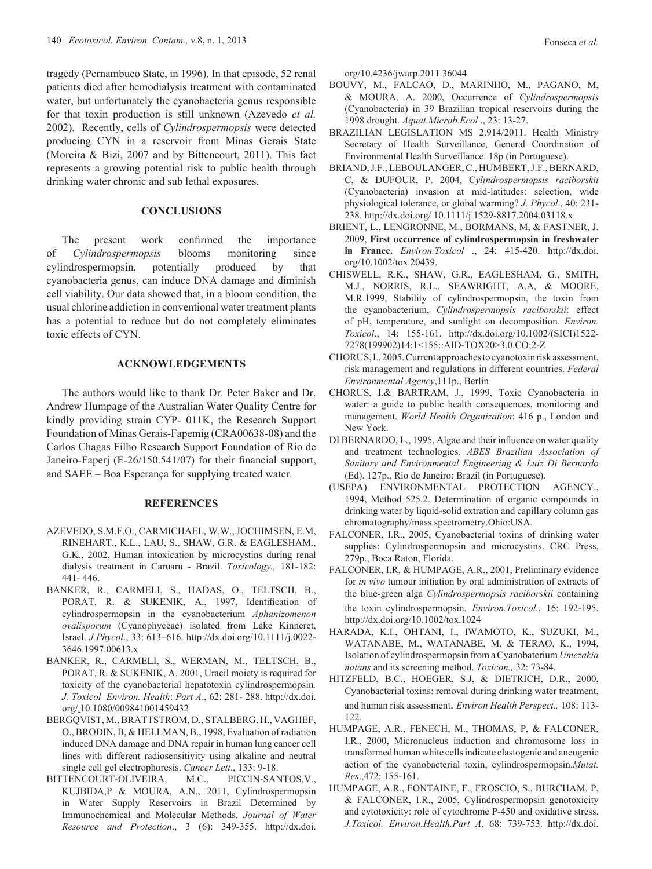tragedy (Pernambuco State, in 1996). In that episode, 52 renal patients died after hemodialysis treatment with contaminated water, but unfortunately the cyanobacteria genus responsible for that toxin production is still unknown (Azevedo *et al.* 2002). Recently, cells of *Cylindrospermopsis* were detected producing CYN in a reservoir from Minas Gerais State (Moreira & Bizi, 2007 and by Bittencourt, 2011). This fact represents a growing potential risk to public health through drinking water chronic and sub lethal exposures.

# **Conclusions**

The present work confirmed the importance of *Cylindrospermopsis* blooms monitoring since cylindrospermopsin, potentially produced by that cyanobacteria genus, can induce DNA damage and diminish cell viability. Our data showed that, in a bloom condition, the usual chlorine addiction in conventional water treatment plants has a potential to reduce but do not completely eliminates toxic effects of CYN.

# **Acknowledgements**

The authors would like to thank Dr. Peter Baker and Dr. Andrew Humpage of the Australian Water Quality Centre for kindly providing strain CYP- 011K, the Research Support Foundation of Minas Gerais-Fapemig (CRA00638-08) and the Carlos Chagas Filho Research Support Foundation of Rio de Janeiro-Faperj (E-26/150.541/07) for their financial support, and SAEE – Boa Esperança for supplying treated water.

#### **References**

- AZEVEDO, S.M.F.O., CARMICHAEL, W.W., JOCHIMSEN, E.M, RINEHART., K.L., LAU, S., SHAW, G.R. & EAGLESHAM., G.K., 2002, Human intoxication by microcystins during renal dialysis treatment in Caruaru - Brazil. *Toxicology.,* 181-182: 441- 446.
- BANKER, R., CARMELI, S., HADAS, O., TELTSCH, B., PORAT, R. & SUKENIK, A., 1997, Identification of cylindrospermopsin in the cyanobacterium *Aphanizomenon ovalisporum* (Cyanophyceae) isolated from Lake Kinneret, Israel. *J.Phycol*., 33: 613–616. http://dx.doi.org/10.1111/j.0022- 3646.1997.00613.x
- BANKER, R., CARMELI, S., WERMAN, M., TELTSCH, B., PORAT, R. & SUKENIK, A. 2001, Uracil moiety is required for toxicity of the cyanobacterial hepatotoxin cylindrospermopsin*. J. Toxicol Environ. Health*: *Part A*., 62: 281- 288. http://dx.doi. org/ 10.1080/009841001459432
- BERGQVIST, M., BRATTSTROM, D., STALBERG, H., VAGHEF, O., BRODIN, B, & HELLMAN, B., 1998, Evaluation of radiation induced DNA damage and DNA repair in human lung cancer cell lines with different radiosensitivity using alkaline and neutral single cell gel electrophoresis. *Cancer Lett*., 133: 9-18.
- BITTENCOURT-OLIVEIRA, M.C., PICCIN-SANTOS,V., KUJBIDA,P & MOURA, A.N., 2011, Cylindrospermopsin in Water Supply Reservoirs in Brazil Determined by Immunochemical and Molecular Methods. *Journal of Water Resource and Protection*., 3 (6): 349-355. http://dx.doi.

org/10.4236/jwarp.2011.36044

- BOUVY, M., FALCAO, D., MARINHO, M., PAGANO, M, & MOURA, A. 2000, Occurrence of *Cylindrospermopsis* (Cyanobacteria) in 39 Brazilian tropical reservoirs during the 1998 drought. *Aquat.Microb.Ecol* ., 23: 13-27.
- BRAZILIAN LEGISLATION MS 2.914/2011. Health Ministry Secretary of Health Surveillance, General Coordination of Environmental Health Surveillance. 18p (in Portuguese).
- BRIAND, J.F., LEBOULANGER, C., HUMBERT, J.F., BERNARD, C, & DUFOUR, P. 2004, C*ylindrospermopsis raciborskii* (Cyanobacteria) invasion at mid-latitudes: selection, wide physiological tolerance, or global warming? *J. Phycol*., 40: 231- 238. http://dx.doi.org/ 10.1111/j.1529-8817.2004.03118.x.
- BRIENT, L., LENGRONNE, M., BORMANS, M, & FASTNER, J. 2009, **First occurrence of cylindrospermopsin in freshwater in France.** *Environ.Toxicol* ., 24: 415-420. http://dx.doi. org/10.1002/tox.20439.
- CHISWELL, R.K., SHAW, G.R., EAGLESHAM, G., SMITH, M.J., NORRIS, R.L., SEAWRIGHT, A.A, & MOORE, M.R.1999, Stability of cylindrospermopsin, the toxin from the cyanobacterium, *Cylindrospermopsis raciborskii*: effect of pH, temperature, and sunlight on decomposition. *Environ. Toxicol*., 14: 155-161. http://dx.doi.org/10.1002/(SICI)1522- 7278(199902)14:1<155::AID-TOX20>3.0.CO;2-Z
- CHORUS, I., 2005. Current approaches to cyanotoxin risk assessment, risk management and regulations in different countries. *Federal Environmental Agency*,111p., Berlin
- CHORUS, I.& BARTRAM, J., 1999, Toxic Cyanobacteria in water: a guide to public health consequences, monitoring and management. *World Health Organization*: 416 p., London and New York.
- DI BERNARDO, L., 1995, Algae and their influence on water quality and treatment technologies. *ABES Brazilian Association of Sanitary and Environmental Engineering & Luiz Di Bernardo* (Ed). 127p., Rio de Janeiro: Brazil (in Portuguese).
- (USEPA) ENVIRONMENTAL PROTECTION AGENCY., 1994, Method 525.2. Determination of organic compounds in drinking water by liquid-solid extration and capillary column gas chromatography/mass spectrometry.Ohio:USA.
- FALCONER, I.R., 2005, Cyanobacterial toxins of drinking water supplies: Cylindrospermopsin and microcystins. CRC Press, 279p., Boca Raton, Florida.
- FALCONER, I.R, & HUMPAGE, A.R., 2001, Preliminary evidence for *in vivo* tumour initiation by oral administration of extracts of the blue-green alga *Cylindrospermopsis raciborskii* containing the toxin cylindrospermopsin. *Environ.Toxicol*., 16: 192-195. http://dx.doi.org/10.1002/tox.1024
- HARADA, K.I., OHTANI, I., IWAMOTO, K., SUZUKI, M., WATANABE, M., WATANABE, M, & TERAO, K., 1994, Isolation of cylindrospermopsin from a Cyanobaterium *Umezakia natans* and its screening method. *Toxicon.,* 32: 73-84.
- HITZFELD, B.C., HOEGER, S.J, & DIETRICH, D.R., 2000, Cyanobacterial toxins: removal during drinking water treatment, and human risk assessment. *Environ Health Perspect.,* 108: 113- 122.
- HUMPAGE, A.R., FENECH, M., THOMAS, P, & FALCONER, I.R., 2000, Micronucleus induction and chromosome loss in transformed human white cells indicate clastogenic and aneugenic action of the cyanobacterial toxin, cylindrospermopsin.*Mutat. Res*.,472: 155-161.
- HUMPAGE, A.R., FONTAINE, F., FROSCIO, S., BURCHAM, P, & FALCONER, I.R., 2005, Cylindrospermopsin genotoxicity and cytotoxicity: role of cytochrome P-450 and oxidative stress. *J.Toxicol. Environ.Health.Part A*, 68: 739-753. http://dx.doi.